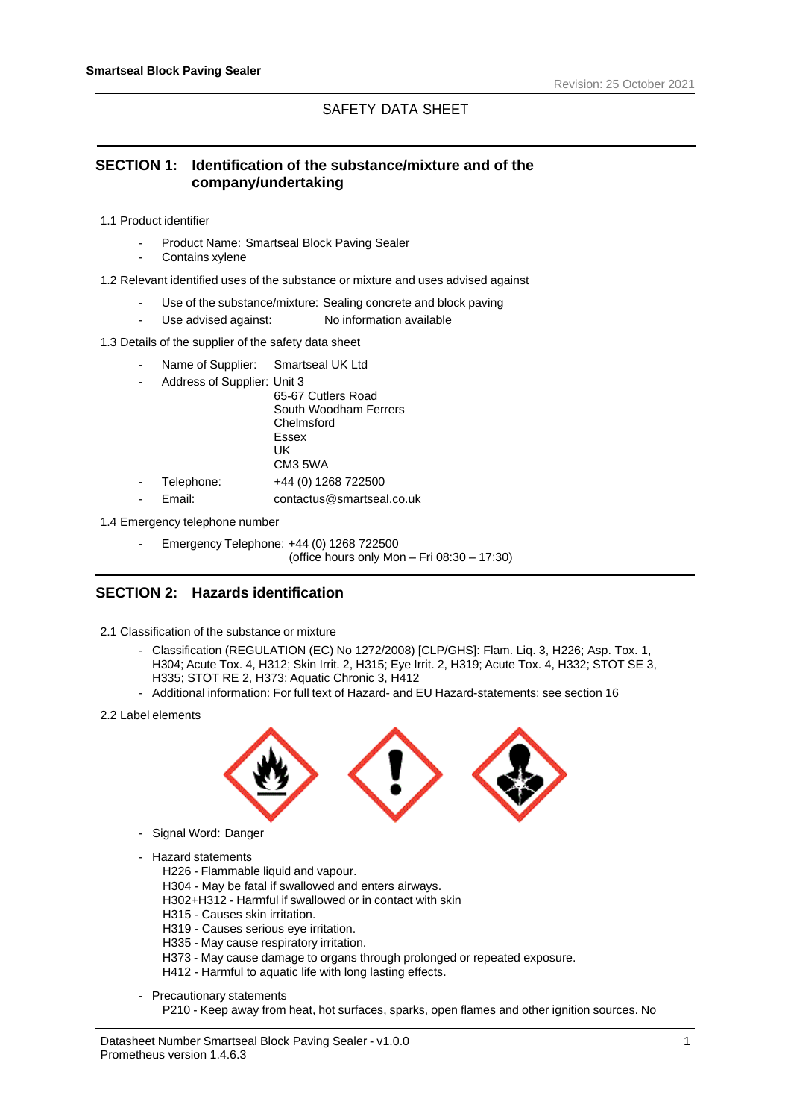# SAFETY DATA SHEET

# **SECTION 1: Identification of the substance/mixture and of the company/undertaking**

- 1.1 Product identifier
	- Product Name: Smartseal Block Paving Sealer
	- Contains xylene
- 1.2 Relevant identified uses of the substance or mixture and uses advised against
	- Use of the substance/mixture: Sealing concrete and block paving
	- Use advised against: No information available
- 1.3 Details of the supplier of the safety data sheet
	- Name of Supplier: Smartseal UK Ltd
	- Address of Supplier: Unit 3
		- 65-67 Cutlers Road South Woodham Ferrers Chelmsford Essex UK CM3 5WA Telephone: +44 (0) 1268 722500 - Email: contactus@smartseal.co.uk
- 1.4 Emergency telephone number
	- Emergency Telephone: +44 (0) 1268 722500 (office hours only Mon – Fri 08:30 – 17:30)

# **SECTION 2: Hazards identification**

- 2.1 Classification of the substance or mixture
	- Classification (REGULATION (EC) No 1272/2008) [CLP/GHS]: Flam. Liq. 3, H226; Asp. Tox. 1, H304; Acute Tox. 4, H312; Skin Irrit. 2, H315; Eye Irrit. 2, H319; Acute Tox. 4, H332; STOT SE 3, H335; STOT RE 2, H373; Aquatic Chronic 3, H412
	- Additional information: For full text of Hazard- and EU Hazard-statements: see section 16
- 2.2 Label elements



- Signal Word: Danger
- Hazard statements
	- H226 Flammable liquid and vapour.
	- H304 May be fatal if swallowed and enters airways.
	- H302+H312 Harmful if swallowed or in contact with skin
	- H315 Causes skin irritation.
	- H319 Causes serious eye irritation.
	- H335 May cause respiratory irritation.
	- H373 May cause damage to organs through prolonged or repeated exposure.
	- H412 Harmful to aquatic life with long lasting effects.
- Precautionary statements

P210 - Keep away from heat, hot surfaces, sparks, open flames and other ignition sources. No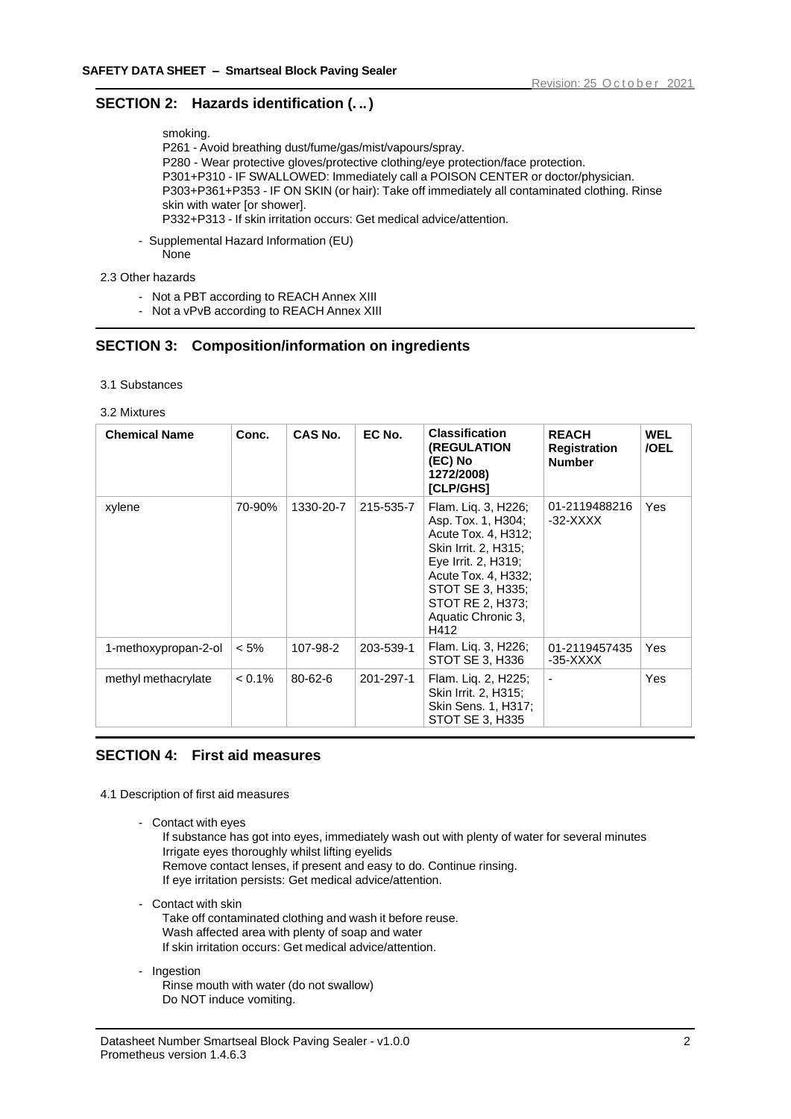# **SECTION 2: Hazards identification (. ..)**

smoking.

P261 - Avoid breathing dust/fume/gas/mist/vapours/spray. P280 - Wear protective gloves/protective clothing/eye protection/face protection. P301+P310 - IF SWALLOWED: Immediately call a POISON CENTER or doctor/physician. P303+P361+P353 - IF ON SKIN (or hair): Take off immediately all contaminated clothing. Rinse skin with water [or shower]. P332+P313 - If skin irritation occurs: Get medical advice/attention.

- Supplemental Hazard Information (EU) None
- 2.3 Other hazards
	- Not a PBT according to REACH Annex XIII
	- Not a vPvB according to REACH Annex XIII

# **SECTION 3: Composition/information on ingredients**

#### 3.1 Substances

#### 3.2 Mixtures

| <b>Chemical Name</b> | Conc.     | CAS No.       | EC No.    | <b>Classification</b><br>(REGULATION<br>(EC) No<br>1272/2008)<br><b>[CLP/GHS]</b>                                                                                                                            | <b>REACH</b><br><b>Registration</b><br><b>Number</b> | <b>WEL</b><br>/OEL |
|----------------------|-----------|---------------|-----------|--------------------------------------------------------------------------------------------------------------------------------------------------------------------------------------------------------------|------------------------------------------------------|--------------------|
| xylene               | 70-90%    | 1330-20-7     | 215-535-7 | Flam. Lig. 3, H226;<br>Asp. Tox. 1, H304;<br>Acute Tox. 4, H312;<br>Skin Irrit. 2, H315;<br>Eye Irrit. 2, H319;<br>Acute Tox. 4, H332;<br>STOT SE 3, H335;<br>STOT RE 2, H373;<br>Aquatic Chronic 3,<br>H412 | 01-2119488216<br>-32-XXXX                            | Yes                |
| 1-methoxypropan-2-ol | $< 5\%$   | 107-98-2      | 203-539-1 | Flam. Liq. 3, H226;<br>STOT SE 3, H336                                                                                                                                                                       | 01-2119457435<br>-35-XXXX                            | Yes                |
| methyl methacrylate  | $< 0.1\%$ | $80 - 62 - 6$ | 201-297-1 | Flam. Lig. 2, H225;<br>Skin Irrit. 2, H315;<br>Skin Sens. 1, H317;<br>STOT SE 3, H335                                                                                                                        |                                                      | Yes                |

# **SECTION 4: First aid measures**

4.1 Description of first aid measures

- Contact with eyes

If substance has got into eyes, immediately wash out with plenty of water for several minutes Irrigate eyes thoroughly whilst lifting eyelids Remove contact lenses, if present and easy to do. Continue rinsing. If eye irritation persists: Get medical advice/attention.

- Contact with skin

Take off contaminated clothing and wash it before reuse. Wash affected area with plenty of soap and water If skin irritation occurs: Get medical advice/attention.

- Ingestion Rinse mouth with water (do not swallow) Do NOT induce vomiting.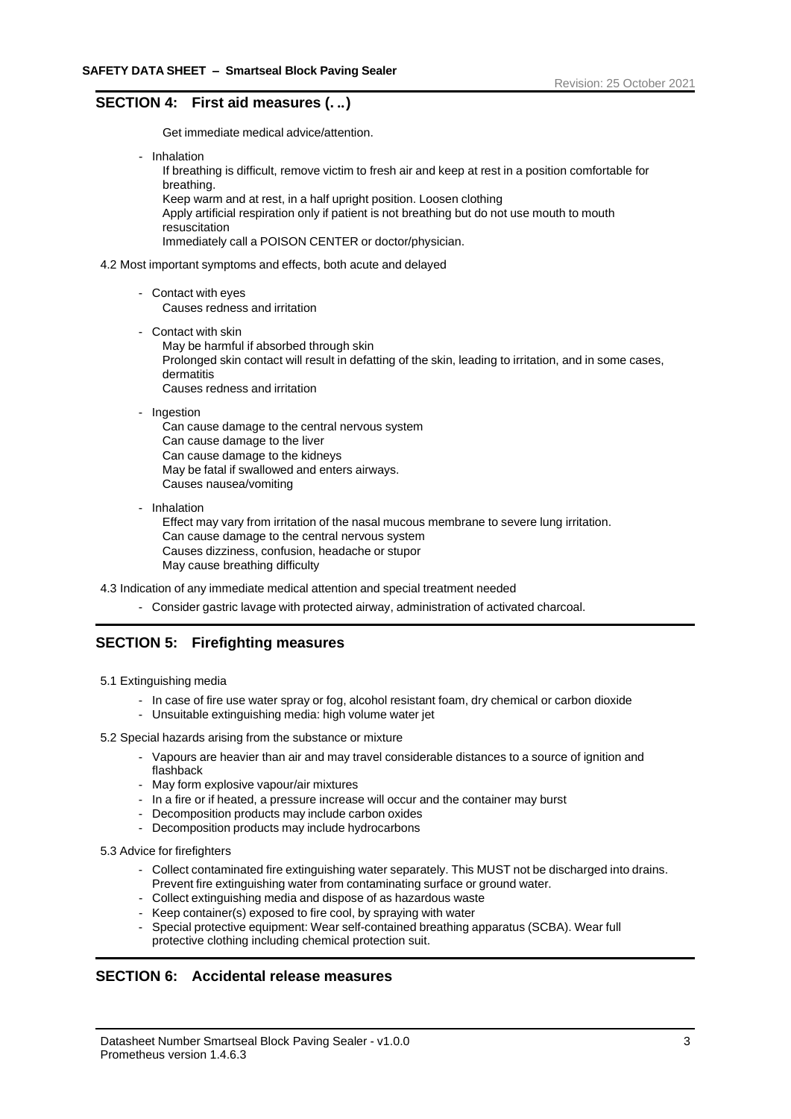# **SECTION 4: First aid measures (. ..)**

Get immediate medical advice/attention.

- Inhalation

If breathing is difficult, remove victim to fresh air and keep at rest in a position comfortable for breathing. Keep warm and at rest, in a half upright position. Loosen clothing Apply artificial respiration only if patient is not breathing but do not use mouth to mouth resuscitation Immediately call a POISON CENTER or doctor/physician.

- 4.2 Most important symptoms and effects, both acute and delayed
	- Contact with eyes Causes redness and irritation
	- Contact with skin May be harmful if absorbed through skin Prolonged skin contact will result in defatting of the skin, leading to irritation, and in some cases, dermatitis Causes redness and irritation
	- Ingestion

Can cause damage to the central nervous system Can cause damage to the liver Can cause damage to the kidneys May be fatal if swallowed and enters airways. Causes nausea/vomiting

- Inhalation

Effect may vary from irritation of the nasal mucous membrane to severe lung irritation. Can cause damage to the central nervous system Causes dizziness, confusion, headache or stupor May cause breathing difficulty

4.3 Indication of any immediate medical attention and special treatment needed

- Consider gastric lavage with protected airway, administration of activated charcoal.

# **SECTION 5: Firefighting measures**

- 5.1 Extinguishing media
	- In case of fire use water spray or fog, alcohol resistant foam, dry chemical or carbon dioxide
	- Unsuitable extinguishing media: high volume water jet
- 5.2 Special hazards arising from the substance or mixture
	- Vapours are heavier than air and may travel considerable distances to a source of ignition and flashback
	- May form explosive vapour/air mixtures
	- In a fire or if heated, a pressure increase will occur and the container may burst
	- Decomposition products may include carbon oxides
	- Decomposition products may include hydrocarbons
- 5.3 Advice for firefighters
	- Collect contaminated fire extinguishing water separately. This MUST not be discharged into drains. Prevent fire extinguishing water from contaminating surface or ground water.
	- Collect extinguishing media and dispose of as hazardous waste
	- Keep container(s) exposed to fire cool, by spraying with water
	- Special protective equipment: Wear self-contained breathing apparatus (SCBA). Wear full protective clothing including chemical protection suit.

# **SECTION 6: Accidental release measures**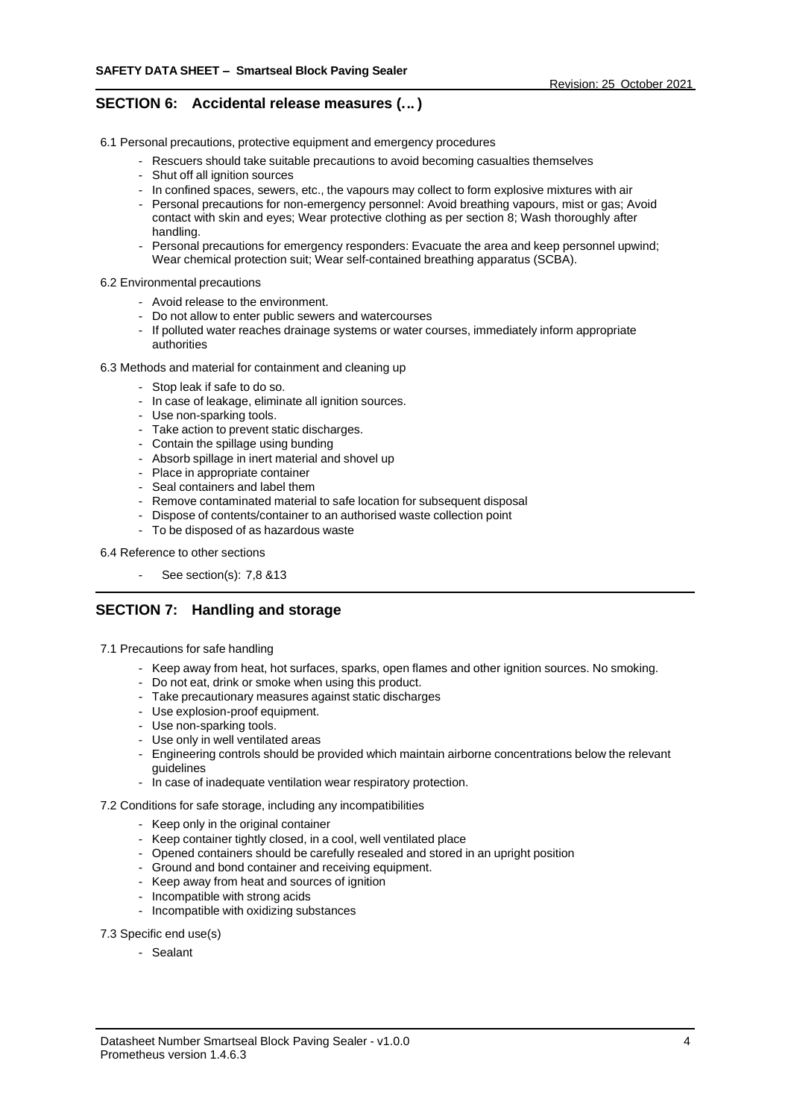# **SECTION 6: Accidental release measures (... )**

6.1 Personal precautions, protective equipment and emergency procedures

- Rescuers should take suitable precautions to avoid becoming casualties themselves
- Shut off all ignition sources
- In confined spaces, sewers, etc., the vapours may collect to form explosive mixtures with air
- Personal precautions for non-emergency personnel: Avoid breathing vapours, mist or gas; Avoid contact with skin and eyes; Wear protective clothing as per section 8; Wash thoroughly after handling.
- Personal precautions for emergency responders: Evacuate the area and keep personnel upwind; Wear chemical protection suit; Wear self-contained breathing apparatus (SCBA).

6.2 Environmental precautions

- Avoid release to the environment.
- Do not allow to enter public sewers and watercourses
- If polluted water reaches drainage systems or water courses, immediately inform appropriate authorities

6.3 Methods and material for containment and cleaning up

- Stop leak if safe to do so.
- In case of leakage, eliminate all ignition sources.
- Use non-sparking tools.
- Take action to prevent static discharges.
- Contain the spillage using bunding
- Absorb spillage in inert material and shovel up
- Place in appropriate container
- Seal containers and label them
- Remove contaminated material to safe location for subsequent disposal
- Dispose of contents/container to an authorised waste collection point
- To be disposed of as hazardous waste

6.4 Reference to other sections

- See section(s): 7,8 &13

# **SECTION 7: Handling and storage**

- 7.1 Precautions for safe handling
	- Keep away from heat, hot surfaces, sparks, open flames and other ignition sources. No smoking.
	- Do not eat, drink or smoke when using this product.
	- Take precautionary measures against static discharges
	- Use explosion-proof equipment.
	- Use non-sparking tools.
	- Use only in well ventilated areas
	- Engineering controls should be provided which maintain airborne concentrations below the relevant guidelines
	- In case of inadequate ventilation wear respiratory protection.
- 7.2 Conditions for safe storage, including any incompatibilities
	- Keep only in the original container
	- Keep container tightly closed, in a cool, well ventilated place
	- Opened containers should be carefully resealed and stored in an upright position
	- Ground and bond container and receiving equipment.
	- Keep away from heat and sources of ignition
	- Incompatible with strong acids
	- Incompatible with oxidizing substances

#### 7.3 Specific end use(s)

- Sealant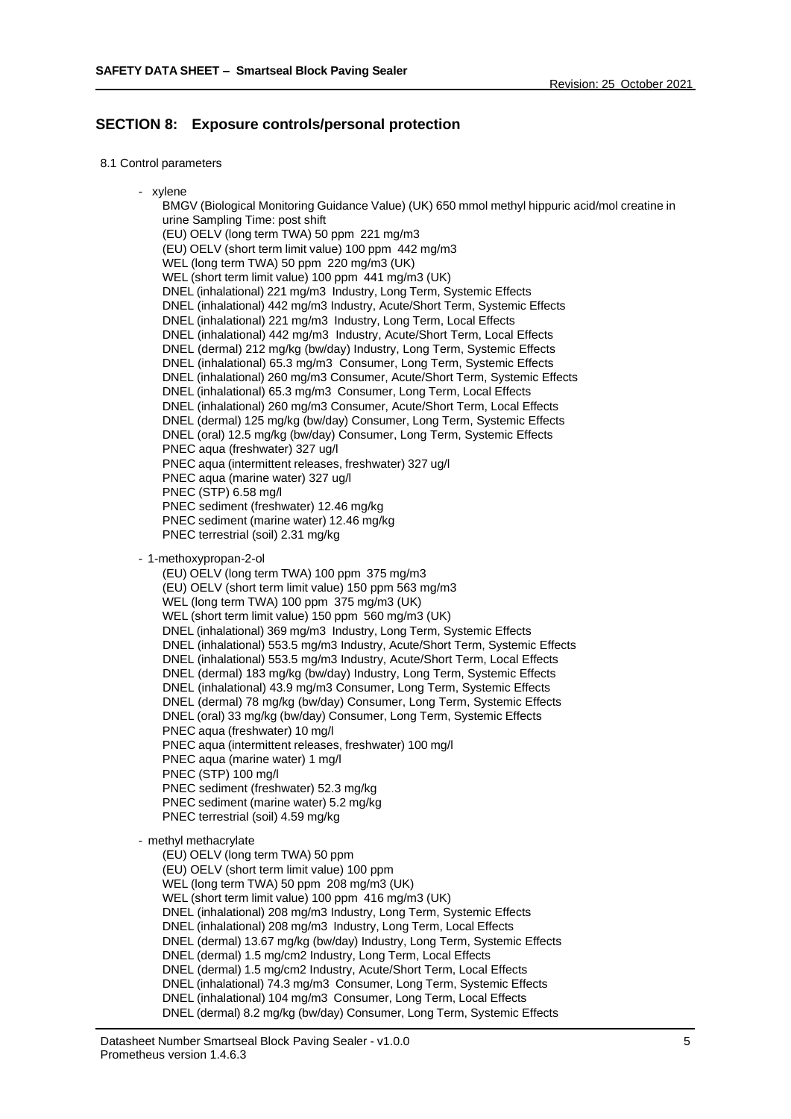# **SECTION 8: Exposure controls/personal protection**

- 8.1 Control parameters
	- xylene

BMGV (Biological Monitoring Guidance Value) (UK) 650 mmol methyl hippuric acid/mol creatine in urine Sampling Time: post shift (EU) OELV (long term TWA) 50 ppm 221 mg/m3 (EU) OELV (short term limit value) 100 ppm 442 mg/m3 WEL (long term TWA) 50 ppm 220 mg/m3 (UK) WEL (short term limit value) 100 ppm 441 mg/m3 (UK) DNEL (inhalational) 221 mg/m3 Industry, Long Term, Systemic Effects DNEL (inhalational) 442 mg/m3 Industry, Acute/Short Term, Systemic Effects DNEL (inhalational) 221 mg/m3 Industry, Long Term, Local Effects DNEL (inhalational) 442 mg/m3 Industry, Acute/Short Term, Local Effects DNEL (dermal) 212 mg/kg (bw/day) Industry, Long Term, Systemic Effects DNEL (inhalational) 65.3 mg/m3 Consumer, Long Term, Systemic Effects DNEL (inhalational) 260 mg/m3 Consumer, Acute/Short Term, Systemic Effects DNEL (inhalational) 65.3 mg/m3 Consumer, Long Term, Local Effects DNEL (inhalational) 260 mg/m3 Consumer, Acute/Short Term, Local Effects DNEL (dermal) 125 mg/kg (bw/day) Consumer, Long Term, Systemic Effects DNEL (oral) 12.5 mg/kg (bw/day) Consumer, Long Term, Systemic Effects PNEC aqua (freshwater) 327 ug/l PNEC aqua (intermittent releases, freshwater) 327 ug/l PNEC aqua (marine water) 327 ug/l PNEC (STP) 6.58 mg/l PNEC sediment (freshwater) 12.46 mg/kg PNEC sediment (marine water) 12.46 mg/kg PNEC terrestrial (soil) 2.31 mg/kg - 1-methoxypropan-2-ol (EU) OELV (long term TWA) 100 ppm 375 mg/m3 (EU) OELV (short term limit value) 150 ppm 563 mg/m3 WEL (long term TWA) 100 ppm 375 mg/m3 (UK) WEL (short term limit value) 150 ppm 560 mg/m3 (UK) DNEL (inhalational) 369 mg/m3 Industry, Long Term, Systemic Effects DNEL (inhalational) 553.5 mg/m3 Industry, Acute/Short Term, Systemic Effects DNEL (inhalational) 553.5 mg/m3 Industry, Acute/Short Term, Local Effects DNEL (dermal) 183 mg/kg (bw/day) Industry, Long Term, Systemic Effects DNEL (inhalational) 43.9 mg/m3 Consumer, Long Term, Systemic Effects DNEL (dermal) 78 mg/kg (bw/day) Consumer, Long Term, Systemic Effects DNEL (oral) 33 mg/kg (bw/day) Consumer, Long Term, Systemic Effects PNEC aqua (freshwater) 10 mg/l PNEC aqua (intermittent releases, freshwater) 100 mg/l PNEC aqua (marine water) 1 mg/l PNEC (STP) 100 mg/l PNEC sediment (freshwater) 52.3 mg/kg PNEC sediment (marine water) 5.2 mg/kg PNEC terrestrial (soil) 4.59 mg/kg - methyl methacrylate (EU) OELV (long term TWA) 50 ppm (EU) OELV (short term limit value) 100 ppm WEL (long term TWA) 50 ppm 208 mg/m3 (UK) WEL (short term limit value) 100 ppm 416 mg/m3 (UK) DNEL (inhalational) 208 mg/m3 Industry, Long Term, Systemic Effects DNEL (inhalational) 208 mg/m3 Industry, Long Term, Local Effects DNEL (dermal) 13.67 mg/kg (bw/day) Industry, Long Term, Systemic Effects DNEL (dermal) 1.5 mg/cm2 Industry, Long Term, Local Effects DNEL (dermal) 1.5 mg/cm2 Industry, Acute/Short Term, Local Effects DNEL (inhalational) 74.3 mg/m3 Consumer, Long Term, Systemic Effects DNEL (inhalational) 104 mg/m3 Consumer, Long Term, Local Effects DNEL (dermal) 8.2 mg/kg (bw/day) Consumer, Long Term, Systemic Effects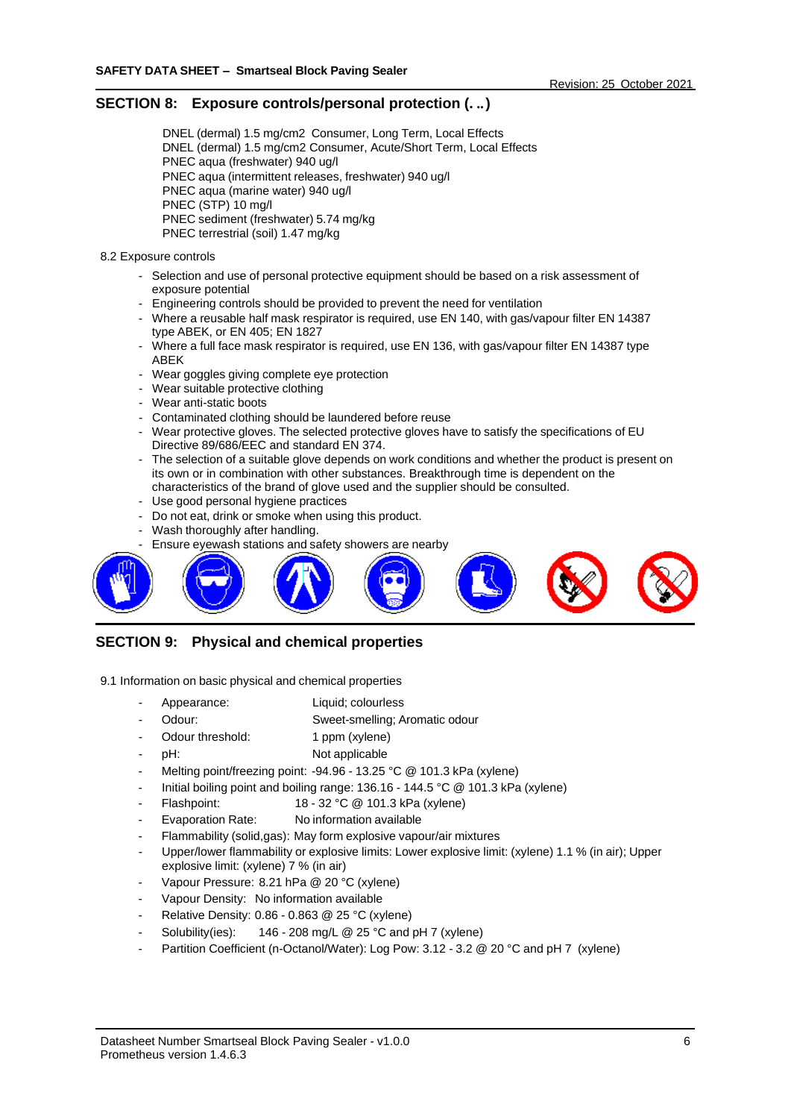### **SECTION 8: Exposure controls/personal protection (. ..)**

DNEL (dermal) 1.5 mg/cm2 Consumer, Long Term, Local Effects DNEL (dermal) 1.5 mg/cm2 Consumer, Acute/Short Term, Local Effects PNEC aqua (freshwater) 940 ug/l PNEC aqua (intermittent releases, freshwater) 940 ug/l PNEC aqua (marine water) 940 ug/l PNEC (STP) 10 mg/l PNEC sediment (freshwater) 5.74 mg/kg PNEC terrestrial (soil) 1.47 mg/kg

#### 8.2 Exposure controls

- Selection and use of personal protective equipment should be based on a risk assessment of exposure potential
- Engineering controls should be provided to prevent the need for ventilation
- Where a reusable half mask respirator is required, use EN 140, with gas/vapour filter EN 14387 type ABEK, or EN 405; EN 1827
- Where a full face mask respirator is required, use EN 136, with gas/vapour filter EN 14387 type ABEK
- Wear goggles giving complete eye protection
- Wear suitable protective clothing
- Wear anti-static boots
- Contaminated clothing should be laundered before reuse
- Wear protective gloves. The selected protective gloves have to satisfy the specifications of EU Directive 89/686/EEC and standard EN 374.
- The selection of a suitable glove depends on work conditions and whether the product is present on its own or in combination with other substances. Breakthrough time is dependent on the characteristics of the brand of glove used and the supplier should be consulted.
- Use good personal hygiene practices
- Do not eat, drink or smoke when using this product.
- Wash thoroughly after handling.
- Ensure eyewash stations and safety showers are nearby



# **SECTION 9: Physical and chemical properties**

- 9.1 Information on basic physical and chemical properties
	- Appearance: Liquid; colourless
	- Odour: Sweet-smelling; Aromatic odour
	- Odour threshold: 1 ppm (xylene)
	- pH: Not applicable
	- Melting point/freezing point: -94.96 13.25 °C @ 101.3 kPa (xylene)
	- Initial boiling point and boiling range: 136.16 144.5 °C @ 101.3 kPa (xylene)
	- Flashpoint: 18 32 °C @ 101.3 kPa (xylene)
	- Evaporation Rate: No information available
	- Flammability (solid,gas): May form explosive vapour/air mixtures
	- Upper/lower flammability or explosive limits: Lower explosive limit: (xylene) 1.1 % (in air); Upper explosive limit: (xylene) 7 % (in air)
	- Vapour Pressure: 8.21 hPa @ 20 °C (xylene)
	- Vapour Density: No information available
	- Relative Density: 0.86 0.863 @ 25 °C (xylene)
	- Solubility(ies):  $146 208$  mg/L @ 25 °C and pH 7 (xylene)
	- Partition Coefficient (n-Octanol/Water): Log Pow: 3.12 3.2 @ 20 °C and pH 7 (xylene)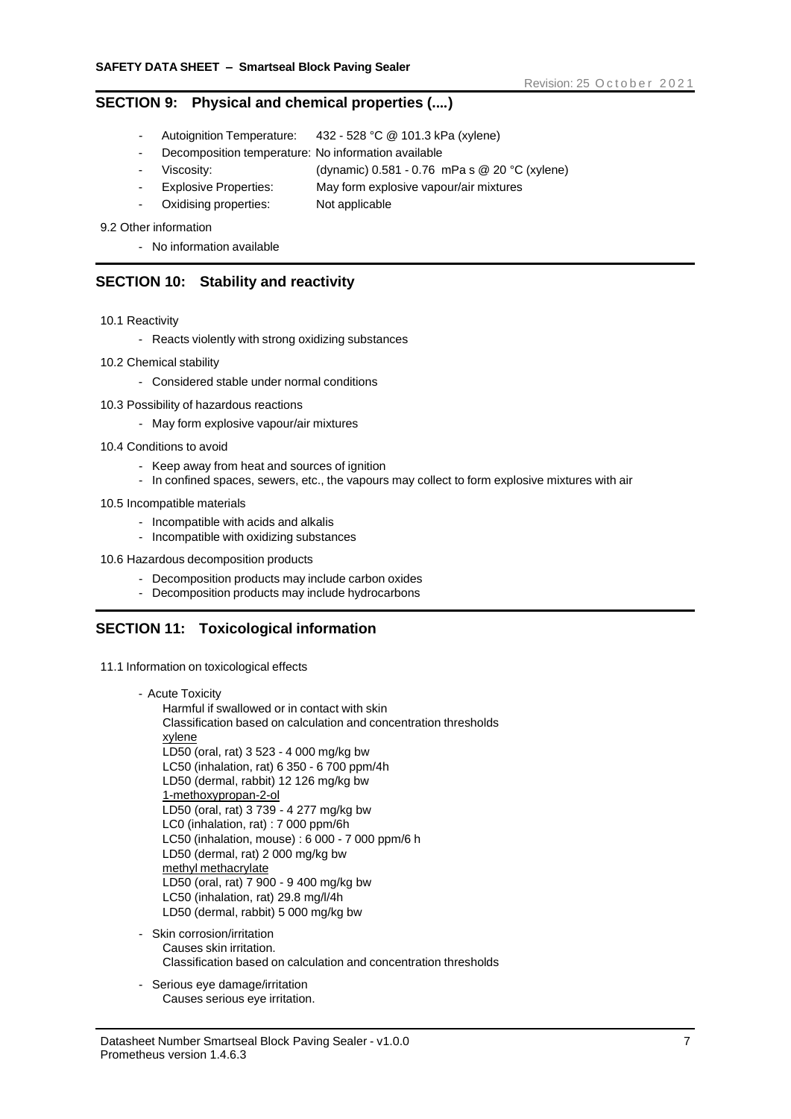### **SECTION 9: Physical and chemical properties (....)**

- Autoignition Temperature: 432 528 °C @ 101.3 kPa (xylene)
- Decomposition temperature: No information available
- Viscosity: (dynamic) 0.581 0.76 mPa s @ 20 °C (xylene)
- Explosive Properties: May form explosive vapour/air mixtures
- Oxidising properties: Not applicable
- 9.2 Other information
	- No information available

### **SECTION 10: Stability and reactivity**

- 10.1 Reactivity
	- Reacts violently with strong oxidizing substances
- 10.2 Chemical stability
	- Considered stable under normal conditions
- 10.3 Possibility of hazardous reactions
	- May form explosive vapour/air mixtures
- 10.4 Conditions to avoid
	- Keep away from heat and sources of ignition
	- In confined spaces, sewers, etc., the vapours may collect to form explosive mixtures with air
- 10.5 Incompatible materials
	- Incompatible with acids and alkalis
	- Incompatible with oxidizing substances
- 10.6 Hazardous decomposition products
	- Decomposition products may include carbon oxides
	- Decomposition products may include hydrocarbons

# **SECTION 11: Toxicological information**

- 11.1 Information on toxicological effects
	- Acute Toxicity Harmful if swallowed or in contact with skin Classification based on calculation and concentration thresholds xylene LD50 (oral, rat) 3 523 - 4 000 mg/kg bw LC50 (inhalation, rat) 6 350 - 6 700 ppm/4h LD50 (dermal, rabbit) 12 126 mg/kg bw 1-methoxypropan-2-ol LD50 (oral, rat) 3 739 - 4 277 mg/kg bw LC0 (inhalation, rat) : 7 000 ppm/6h LC50 (inhalation, mouse) : 6 000 - 7 000 ppm/6 h LD50 (dermal, rat) 2 000 mg/kg bw methyl methacrylate LD50 (oral, rat) 7 900 - 9 400 mg/kg bw LC50 (inhalation, rat) 29.8 mg/l/4h LD50 (dermal, rabbit) 5 000 mg/kg bw
	- Skin corrosion/irritation Causes skin irritation. Classification based on calculation and concentration thresholds
	- Serious eye damage/irritation Causes serious eye irritation.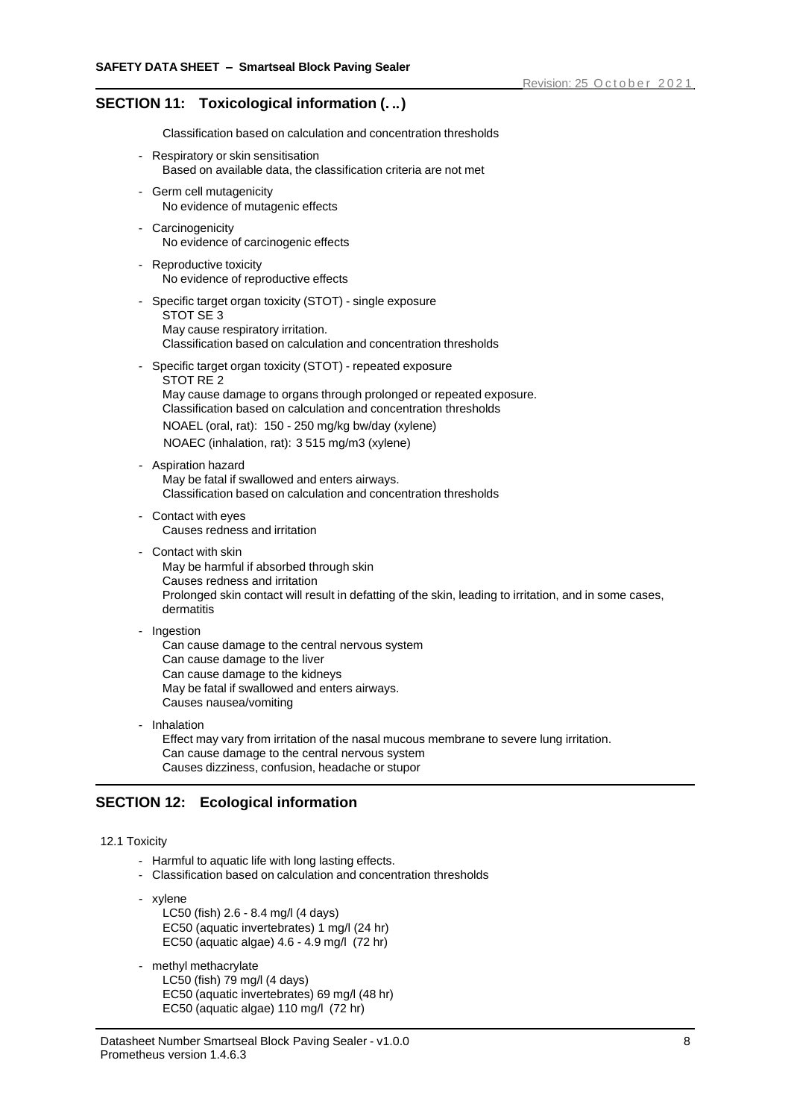# **SECTION 11: Toxicological information (. ..)**

Classification based on calculation and concentration thresholds

- Respiratory or skin sensitisation Based on available data, the classification criteria are not met
- Germ cell mutagenicity No evidence of mutagenic effects
- Carcinogenicity No evidence of carcinogenic effects
- Reproductive toxicity No evidence of reproductive effects
- Specific target organ toxicity (STOT) single exposure STOT SE 3 May cause respiratory irritation. Classification based on calculation and concentration thresholds
- Specific target organ toxicity (STOT) repeated exposure STOT RE 2 May cause damage to organs through prolonged or repeated exposure. Classification based on calculation and concentration thresholds NOAEL (oral, rat): 150 - 250 mg/kg bw/day (xylene) NOAEC (inhalation, rat): 3 515 mg/m3 (xylene)
- Aspiration hazard May be fatal if swallowed and enters airways. Classification based on calculation and concentration thresholds
- Contact with eyes Causes redness and irritation
- Contact with skin May be harmful if absorbed through skin Causes redness and irritation Prolonged skin contact will result in defatting of the skin, leading to irritation, and in some cases, dermatitis
- Ingestion Can cause damage to the central nervous system Can cause damage to the liver Can cause damage to the kidneys May be fatal if swallowed and enters airways. Causes nausea/vomiting
- Inhalation Effect may vary from irritation of the nasal mucous membrane to severe lung irritation. Can cause damage to the central nervous system Causes dizziness, confusion, headache or stupor

# **SECTION 12: Ecological information**

#### 12.1 Toxicity

- Harmful to aquatic life with long lasting effects.
- Classification based on calculation and concentration thresholds
- xylene
	- LC50 (fish) 2.6 8.4 mg/l (4 days) EC50 (aquatic invertebrates) 1 mg/l (24 hr) EC50 (aquatic algae) 4.6 - 4.9 mg/l (72 hr)
- methyl methacrylate

LC50 (fish) 79 mg/l (4 days) EC50 (aquatic invertebrates) 69 mg/l (48 hr) EC50 (aquatic algae) 110 mg/l (72 hr)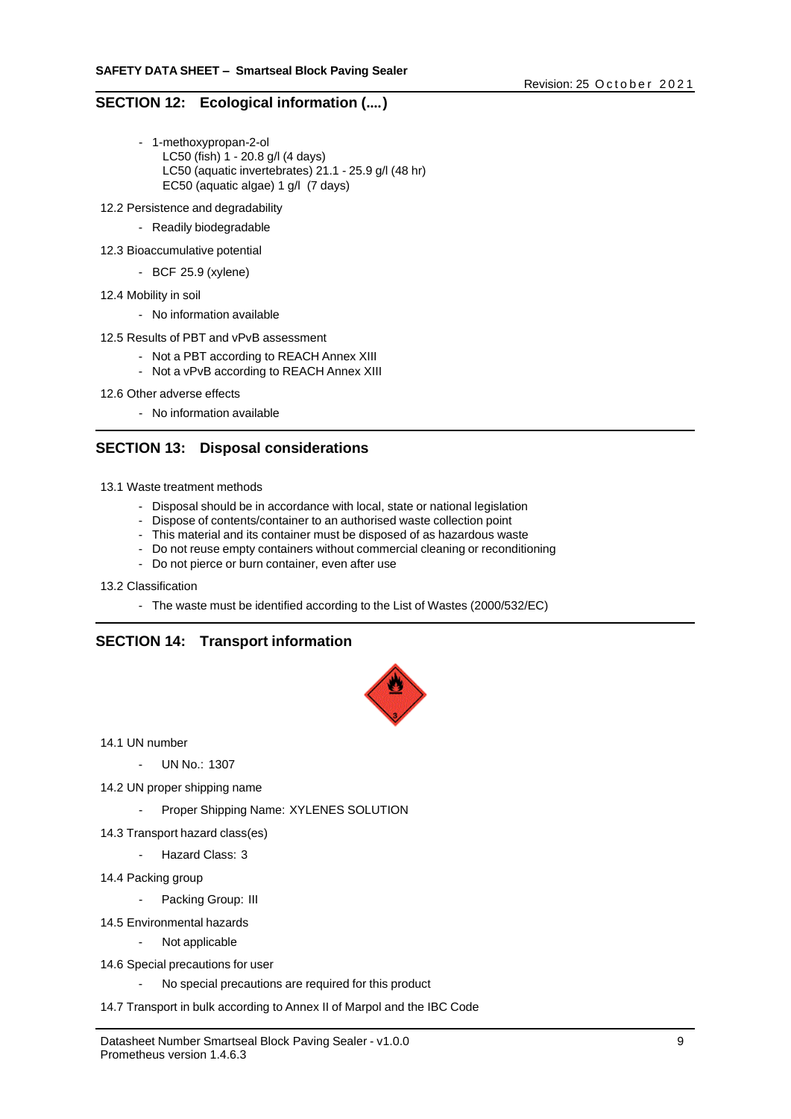# **SECTION 12: Ecological information (....)**

- 1-methoxypropan-2-ol LC50 (fish) 1 - 20.8 g/l (4 days) LC50 (aquatic invertebrates) 21.1 - 25.9 g/l (48 hr) EC50 (aquatic algae) 1 g/l (7 days)
- 12.2 Persistence and degradability
	- Readily biodegradable
- 12.3 Bioaccumulative potential
	- BCF 25.9 (xylene)
- 12.4 Mobility in soil
	- No information available
- 12.5 Results of PBT and vPvB assessment
	- Not a PBT according to REACH Annex XIII
	- Not a vPvB according to REACH Annex XIII
- 12.6 Other adverse effects
	- No information available

# **SECTION 13: Disposal considerations**

- 13.1 Waste treatment methods
	- Disposal should be in accordance with local, state or national legislation
	- Dispose of contents/container to an authorised waste collection point
	- This material and its container must be disposed of as hazardous waste
	- Do not reuse empty containers without commercial cleaning or reconditioning
	- Do not pierce or burn container, even after use
- 13.2 Classification
	- The waste must be identified according to the List of Wastes (2000/532/EC)

# **SECTION 14: Transport information**



14.1 UN number

- UN No.: 1307

- 14.2 UN proper shipping name
	- Proper Shipping Name: XYLENES SOLUTION
- 14.3 Transport hazard class(es)
	- Hazard Class: 3
- 14.4 Packing group
	- Packing Group: III
- 14.5 Environmental hazards
	- Not applicable
- 14.6 Special precautions for user
	- No special precautions are required for this product
- 14.7 Transport in bulk according to Annex II of Marpol and the IBC Code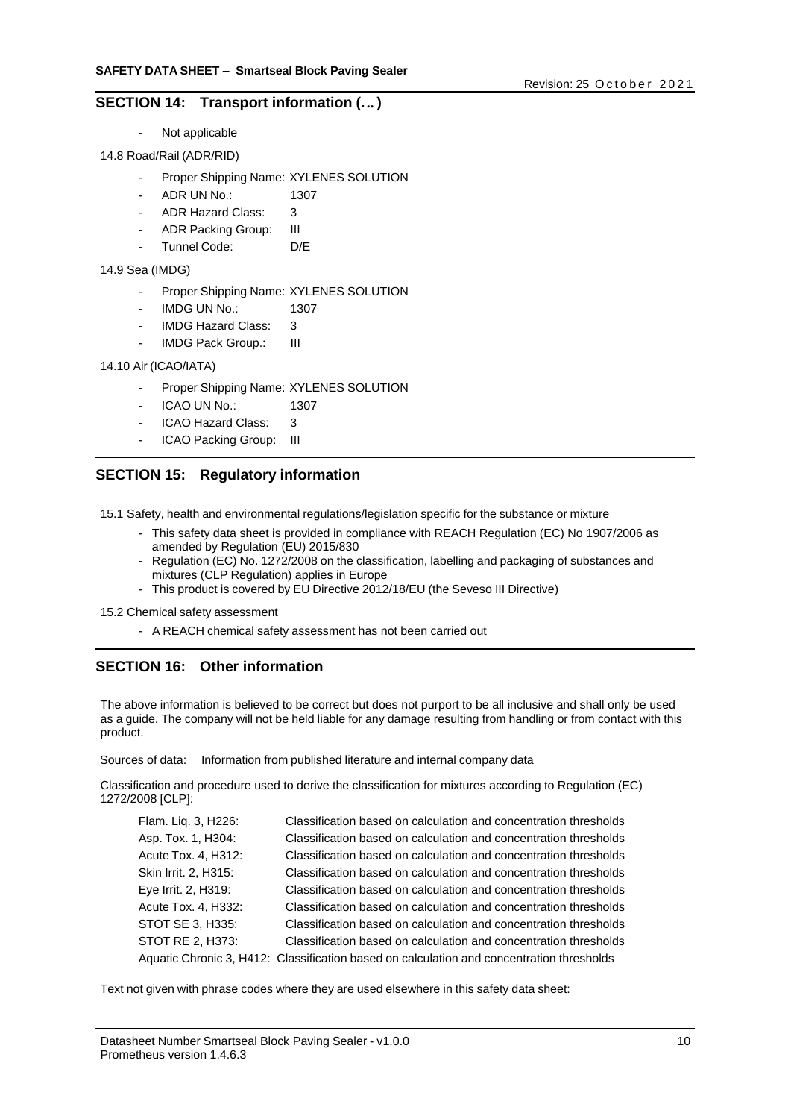### **SECTION 14: Transport information (... )**

- Not applicable
- 14.8 Road/Rail (ADR/RID)
	- Proper Shipping Name: XYLENES SOLUTION
	- ADR UN No.: 1307
	- ADR Hazard Class: 3
	- ADR Packing Group: III
	- Tunnel Code: D/E

#### 14.9 Sea (IMDG)

- Proper Shipping Name: XYLENES SOLUTION
- IMDG UN No.: 1307
- IMDG Hazard Class: 3
- IMDG Pack Group.: III

#### 14.10 Air (ICAO/IATA)

- Proper Shipping Name: XYLENES SOLUTION
- ICAO UN No.: 1307
- ICAO Hazard Class: 3
- ICAO Packing Group: III

# **SECTION 15: Regulatory information**

15.1 Safety, health and environmental regulations/legislation specific for the substance or mixture

- This safety data sheet is provided in compliance with REACH Regulation (EC) No 1907/2006 as amended by Regulation (EU) 2015/830
- Regulation (EC) No. 1272/2008 on the classification, labelling and packaging of substances and mixtures (CLP Regulation) applies in Europe
- This product is covered by EU Directive 2012/18/EU (the Seveso III Directive)
- 15.2 Chemical safety assessment
	- A REACH chemical safety assessment has not been carried out

# **SECTION 16: Other information**

The above information is believed to be correct but does not purport to be all inclusive and shall only be used as a guide. The company will not be held liable for any damage resulting from handling or from contact with this product.

Sources of data: Information from published literature and internal company data

Classification and procedure used to derive the classification for mixtures according to Regulation (EC) 1272/2008 [CLP]:

| Flam. Liq. 3, H226:  | Classification based on calculation and concentration thresholds                          |
|----------------------|-------------------------------------------------------------------------------------------|
| Asp. Tox. 1, H304:   | Classification based on calculation and concentration thresholds                          |
| Acute Tox. 4, H312:  | Classification based on calculation and concentration thresholds                          |
| Skin Irrit. 2, H315: | Classification based on calculation and concentration thresholds                          |
| Eye Irrit. 2, H319:  | Classification based on calculation and concentration thresholds                          |
| Acute Tox. 4, H332:  | Classification based on calculation and concentration thresholds                          |
| STOT SE 3, H335:     | Classification based on calculation and concentration thresholds                          |
| STOT RE 2. H373:     | Classification based on calculation and concentration thresholds                          |
|                      | Aquatic Chronic 3, H412: Classification based on calculation and concentration thresholds |
|                      |                                                                                           |

Text not given with phrase codes where they are used elsewhere in this safety data sheet: